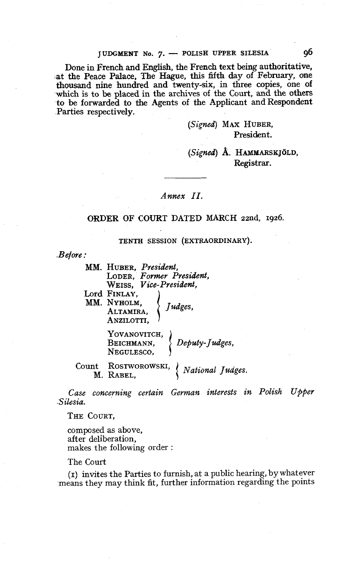## JUDGMENT No. 7. - POLISH UPPER SILESIA 96

Done in French and English, the French text being authoritative, -at the Peace Palace, The Hague, this fiffifth **day** of February, one thousand nine hundred and twenty-six, in three copies, one of which is to **be** placed in the archives of the Court, and the others to be forwarded to the Agents of the Applicant and Respondent Parties respectively.

> (Signed) MAX HUBER, President.

# (Signed) Å. HAMMARSKJÖLD, Registrar.

### Annex II.

### **ORDER OF COURT DATED MARCH** zznd, **1926.**

#### TENTH SESSION (EXTRAORDINARY).

 $Before:$ 

| MM. HUBER, President,          |
|--------------------------------|
| LODER, Former President,       |
| WEISS. <i>Vice-President</i> , |
| Lord Finlay,                   |
| MM. NYHOLM.<br>Judges,         |
| ALTAMIRA.                      |
| ANZILOTTI,                     |
| YOVANOVITCH,                   |
| Deputy-Judges,<br>BEICHMANN,   |
| NEGULESCO,                     |
| <br>Rostwopowski               |

RABEL (National Judges. M. RABEL,

Case concerning certain German interests in Polish Upper .Silesia.

THE COURT,

compcsed as above, after deliberation, makes the following order :

The Court

**(1)** invites the Parties to furnish, at a public hearing, by whatever -means they may think fit, further information regarding the points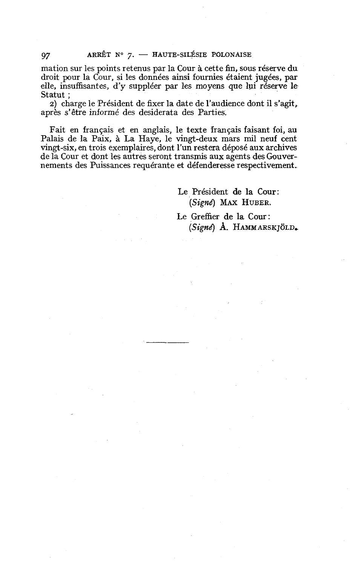mation sur les points retenus par la Cour à cette fin, sous réserve du droit pour la Cour, si les données ainsi fournies étaient jugées, par elle, insuffisantes, d'y suppléer par les moyens que lui réserve le Statut ;

2) charge le Président de fixer la date de l'audience dont il s'agit, aprèç s'être informé des desiderata des Parties.

Fait en français et en anglais, le texte français faisant foi, au Palais de la Paix, à La Haye, le vingt-deux mars mil neuf cent vingt-six, en trois exemplaires, dont l'un restera déposé aux archives de la Cour et dont les autres seront transmis aux agents des Gouvernements des Puissances requérante et défenderesse respectivement.

> Le Président de la Cour: (Signé) MAX **HUBER.**

Le Greffier de la Cour : *(Sig~t?)* **A. HAMMARSKJOLD,**